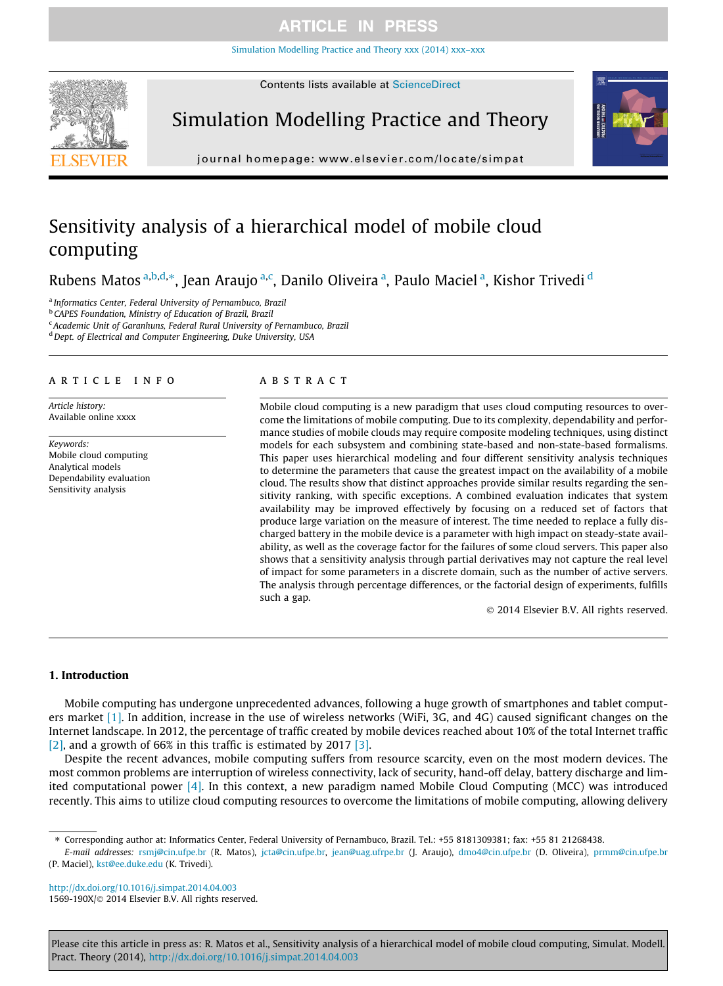# **ARTICLE IN PRESS**

[Simulation Modelling Practice and Theory xxx \(2014\) xxx–xxx](http://dx.doi.org/10.1016/j.simpat.2014.04.003)



Contents lists available at [ScienceDirect](http://www.sciencedirect.com/science/journal/1569190X)

# Simulation Modelling Practice and Theory



journal homepage: [www.elsevier.com/locate/simpat](http://www.elsevier.com/locate/simpat)

# Sensitivity analysis of a hierarchical model of mobile cloud computing

Rubens Matos <sup>a,b,d,</sup>\*, Jean Araujo <sup>a,c</sup>, Danilo Oliveira <sup>a</sup>, Paulo Maciel <sup>a</sup>, Kishor Trivedi <sup>d</sup>

<sup>a</sup> Informatics Center, Federal University of Pernambuco, Brazil

**b CAPES Foundation, Ministry of Education of Brazil, Brazil** 

<sup>c</sup> Academic Unit of Garanhuns, Federal Rural University of Pernambuco, Brazil

<sup>d</sup> Dept. of Electrical and Computer Engineering, Duke University, USA

#### article info

Article history: Available online xxxx

Keywords: Mobile cloud computing Analytical models Dependability evaluation Sensitivity analysis

### **ABSTRACT**

Mobile cloud computing is a new paradigm that uses cloud computing resources to overcome the limitations of mobile computing. Due to its complexity, dependability and performance studies of mobile clouds may require composite modeling techniques, using distinct models for each subsystem and combining state-based and non-state-based formalisms. This paper uses hierarchical modeling and four different sensitivity analysis techniques to determine the parameters that cause the greatest impact on the availability of a mobile cloud. The results show that distinct approaches provide similar results regarding the sensitivity ranking, with specific exceptions. A combined evaluation indicates that system availability may be improved effectively by focusing on a reduced set of factors that produce large variation on the measure of interest. The time needed to replace a fully discharged battery in the mobile device is a parameter with high impact on steady-state availability, as well as the coverage factor for the failures of some cloud servers. This paper also shows that a sensitivity analysis through partial derivatives may not capture the real level of impact for some parameters in a discrete domain, such as the number of active servers. The analysis through percentage differences, or the factorial design of experiments, fulfills such a gap.

© 2014 Elsevier B.V. All rights reserved.

## 1. Introduction

Mobile computing has undergone unprecedented advances, following a huge growth of smartphones and tablet computers market [\[1\].](#page--1-0) In addition, increase in the use of wireless networks (WiFi, 3G, and 4G) caused significant changes on the Internet landscape. In 2012, the percentage of traffic created by mobile devices reached about 10% of the total Internet traffic [\[2\],](#page--1-0) and a growth of 66% in this traffic is estimated by 2017 [\[3\].](#page--1-0)

Despite the recent advances, mobile computing suffers from resource scarcity, even on the most modern devices. The most common problems are interruption of wireless connectivity, lack of security, hand-off delay, battery discharge and limited computational power [\[4\].](#page--1-0) In this context, a new paradigm named Mobile Cloud Computing (MCC) was introduced recently. This aims to utilize cloud computing resources to overcome the limitations of mobile computing, allowing delivery

<http://dx.doi.org/10.1016/j.simpat.2014.04.003> 1569-190X/© 2014 Elsevier B.V. All rights reserved.

Please cite this article in press as: R. Matos et al., Sensitivity analysis of a hierarchical model of mobile cloud computing, Simulat. Modell. Pract. Theory (2014), <http://dx.doi.org/10.1016/j.simpat.2014.04.003>

<sup>⇑</sup> Corresponding author at: Informatics Center, Federal University of Pernambuco, Brazil. Tel.: +55 8181309381; fax: +55 81 21268438.

E-mail addresses: [rsmj@cin.ufpe.br](mailto:rsmj@cin.ufpe.br) (R. Matos), [jcta@cin.ufpe.br](mailto:jcta@cin.ufpe.br), [jean@uag.ufrpe.br](mailto:jean@uag.ufrpe.br) (J. Araujo), [dmo4@cin.ufpe.br](mailto:dmo4@cin.ufpe.br) (D. Oliveira), [prmm@cin.ufpe.br](mailto:prmm@cin.ufpe.br) (P. Maciel), [kst@ee.duke.edu](mailto:kst@ee.duke.edu) (K. Trivedi).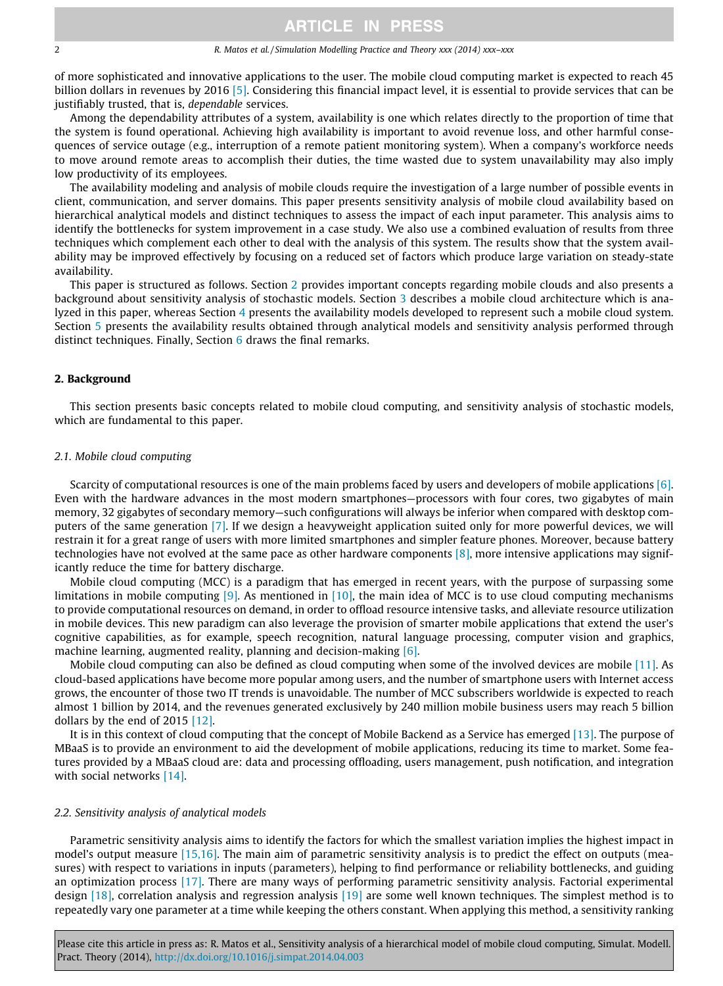#### 2 R. Matos et al. / Simulation Modelling Practice and Theory xxx (2014) xxx–xxx

of more sophisticated and innovative applications to the user. The mobile cloud computing market is expected to reach 45 billion dollars in revenues by 2016 [\[5\].](#page--1-0) Considering this financial impact level, it is essential to provide services that can be justifiably trusted, that is, dependable services.

Among the dependability attributes of a system, availability is one which relates directly to the proportion of time that the system is found operational. Achieving high availability is important to avoid revenue loss, and other harmful consequences of service outage (e.g., interruption of a remote patient monitoring system). When a company's workforce needs to move around remote areas to accomplish their duties, the time wasted due to system unavailability may also imply low productivity of its employees.

The availability modeling and analysis of mobile clouds require the investigation of a large number of possible events in client, communication, and server domains. This paper presents sensitivity analysis of mobile cloud availability based on hierarchical analytical models and distinct techniques to assess the impact of each input parameter. This analysis aims to identify the bottlenecks for system improvement in a case study. We also use a combined evaluation of results from three techniques which complement each other to deal with the analysis of this system. The results show that the system availability may be improved effectively by focusing on a reduced set of factors which produce large variation on steady-state availability.

This paper is structured as follows. Section 2 provides important concepts regarding mobile clouds and also presents a background about sensitivity analysis of stochastic models. Section [3](#page--1-0) describes a mobile cloud architecture which is analyzed in this paper, whereas Section [4](#page--1-0) presents the availability models developed to represent such a mobile cloud system. Section [5](#page--1-0) presents the availability results obtained through analytical models and sensitivity analysis performed through distinct techniques. Finally, Section [6](#page--1-0) draws the final remarks.

### 2. Background

This section presents basic concepts related to mobile cloud computing, and sensitivity analysis of stochastic models, which are fundamental to this paper.

#### 2.1. Mobile cloud computing

Scarcity of computational resources is one of the main problems faced by users and developers of mobile applications [\[6\]](#page--1-0). Even with the hardware advances in the most modern smartphones—processors with four cores, two gigabytes of main memory, 32 gigabytes of secondary memory—such configurations will always be inferior when compared with desktop computers of the same generation [\[7\]](#page--1-0). If we design a heavyweight application suited only for more powerful devices, we will restrain it for a great range of users with more limited smartphones and simpler feature phones. Moreover, because battery technologies have not evolved at the same pace as other hardware components  $[8]$ , more intensive applications may significantly reduce the time for battery discharge.

Mobile cloud computing (MCC) is a paradigm that has emerged in recent years, with the purpose of surpassing some limitations in mobile computing [\[9\].](#page--1-0) As mentioned in [\[10\]](#page--1-0), the main idea of MCC is to use cloud computing mechanisms to provide computational resources on demand, in order to offload resource intensive tasks, and alleviate resource utilization in mobile devices. This new paradigm can also leverage the provision of smarter mobile applications that extend the user's cognitive capabilities, as for example, speech recognition, natural language processing, computer vision and graphics, machine learning, augmented reality, planning and decision-making [\[6\]](#page--1-0).

Mobile cloud computing can also be defined as cloud computing when some of the involved devices are mobile [\[11\].](#page--1-0) As cloud-based applications have become more popular among users, and the number of smartphone users with Internet access grows, the encounter of those two IT trends is unavoidable. The number of MCC subscribers worldwide is expected to reach almost 1 billion by 2014, and the revenues generated exclusively by 240 million mobile business users may reach 5 billion dollars by the end of 2015 [\[12\]](#page--1-0).

It is in this context of cloud computing that the concept of Mobile Backend as a Service has emerged [\[13\]](#page--1-0). The purpose of MBaaS is to provide an environment to aid the development of mobile applications, reducing its time to market. Some features provided by a MBaaS cloud are: data and processing offloading, users management, push notification, and integration with social networks [\[14\].](#page--1-0)

### 2.2. Sensitivity analysis of analytical models

Parametric sensitivity analysis aims to identify the factors for which the smallest variation implies the highest impact in model's output measure [\[15,16\]](#page--1-0). The main aim of parametric sensitivity analysis is to predict the effect on outputs (measures) with respect to variations in inputs (parameters), helping to find performance or reliability bottlenecks, and guiding an optimization process [\[17\].](#page--1-0) There are many ways of performing parametric sensitivity analysis. Factorial experimental design [\[18\]](#page--1-0), correlation analysis and regression analysis [\[19\]](#page--1-0) are some well known techniques. The simplest method is to repeatedly vary one parameter at a time while keeping the others constant. When applying this method, a sensitivity ranking